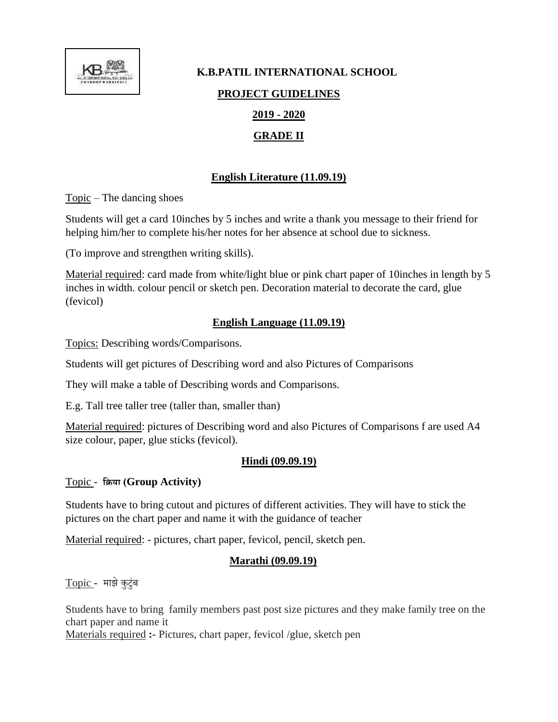

# **K.B.PATIL INTERNATIONAL SCHOOL PROJECT GUIDELINES 2019 - 2020 GRADE II**

# **English Literature (11.09.19)**

Topic – The dancing shoes

Students will get a card 10inches by 5 inches and write a thank you message to their friend for helping him/her to complete his/her notes for her absence at school due to sickness.

(To improve and strengthen writing skills).

Material required: card made from white/light blue or pink chart paper of 10inches in length by 5 inches in width. colour pencil or sketch pen. Decoration material to decorate the card, glue (fevicol)

#### **English Language (11.09.19)**

Topics: Describing words/Comparisons.

Students will get pictures of Describing word and also Pictures of Comparisons

They will make a table of Describing words and Comparisons.

E.g. Tall tree taller tree (taller than, smaller than)

Material required: pictures of Describing word and also Pictures of Comparisons f are used A4 size colour, paper, glue sticks (fevicol).

# **Hindi (09.09.19)**

# Topic - **क्रिया (Group Activity)**

Students have to bring cutout and pictures of different activities. They will have to stick the pictures on the chart paper and name it with the guidance of teacher

Material required: - pictures, chart paper, fevicol, pencil, sketch pen.

# **Marathi (09.09.19)**

Topic **-** माझेकुटुुंब

Students have to bring family members past post size pictures and they make family tree on the chart paper and name it

Materials required **:-** Pictures, chart paper, fevicol /glue, sketch pen